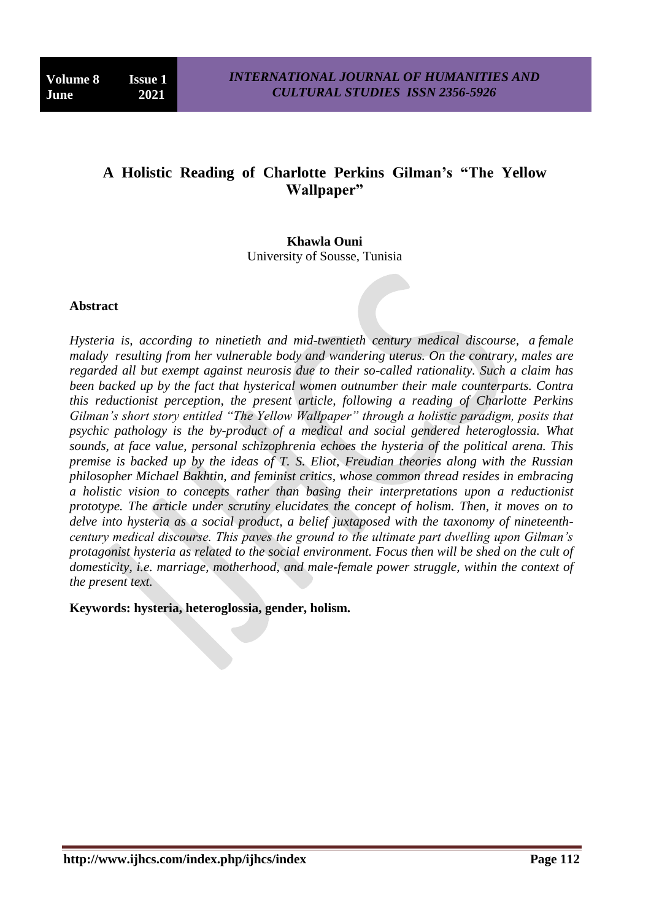# **A Holistic Reading of Charlotte Perkins Gilman's "The Yellow Wallpaper"**

**Khawla Ouni** University of Sousse, Tunisia

#### **Abstract**

*Hysteria is, according to ninetieth and mid-twentieth century medical discourse, a female malady resulting from her vulnerable body and wandering uterus. On the contrary, males are regarded all but exempt against neurosis due to their so-called rationality. Such a claim has been backed up by the fact that hysterical women outnumber their male counterparts. Contra this reductionist perception, the present article, following a reading of Charlotte Perkins Gilman's short story entitled "The Yellow Wallpaper" through a holistic paradigm, posits that psychic pathology is the by-product of a medical and social gendered heteroglossia. What sounds, at face value, personal schizophrenia echoes the hysteria of the political arena. This premise is backed up by the ideas of T. S. Eliot, Freudian theories along with the Russian philosopher Michael Bakhtin, and feminist critics, whose common thread resides in embracing a holistic vision to concepts rather than basing their interpretations upon a reductionist prototype. The article under scrutiny elucidates the concept of holism. Then, it moves on to delve into hysteria as a social product, a belief juxtaposed with the taxonomy of nineteenthcentury medical discourse. This paves the ground to the ultimate part dwelling upon Gilman's protagonist hysteria as related to the social environment. Focus then will be shed on the cult of domesticity, i.e. marriage, motherhood, and male-female power struggle, within the context of the present text.*

**Keywords: hysteria, heteroglossia, gender, holism.**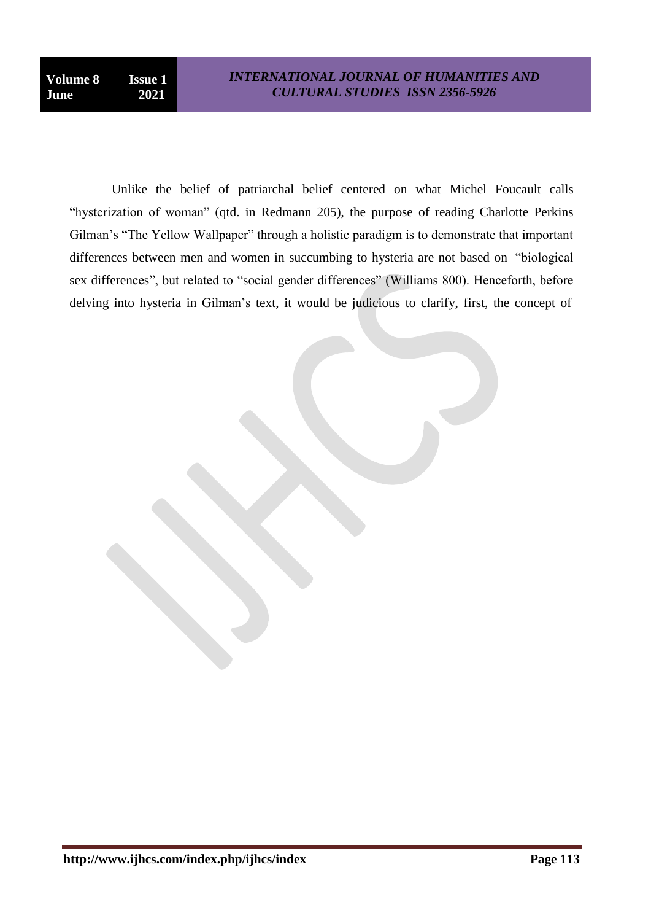Unlike the belief of patriarchal belief centered on what Michel Foucault calls "hysterization of woman" (qtd. in Redmann 205), the purpose of reading Charlotte Perkins Gilman's "The Yellow Wallpaper" through a holistic paradigm is to demonstrate that important differences between men and women in succumbing to hysteria are not based on "biological sex differences", but related to "social gender differences" (Williams 800). Henceforth, before delving into hysteria in Gilman"s text, it would be judicious to clarify, first, the concept of

**http://www.ijhcs.com/index.php/ijhcs/index Page 113**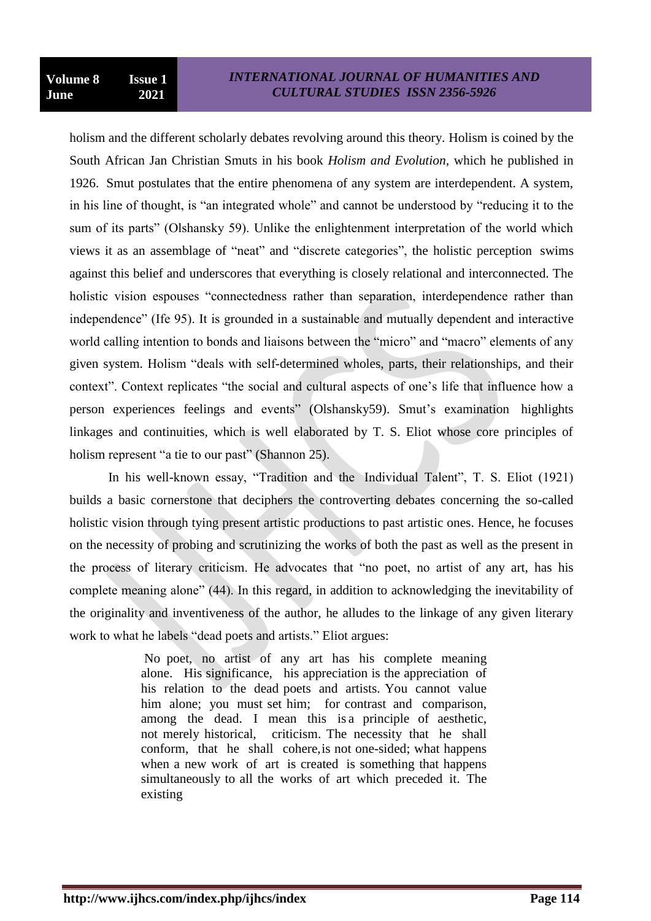holism and the different scholarly debates revolving around this theory. Holism is coined by the South African Jan Christian Smuts in his book *Holism and Evolution,* which he published in 1926. Smut postulates that the entire phenomena of any system are interdependent. A system, in his line of thought, is "an integrated whole" and cannot be understood by "reducing it to the sum of its parts" (Olshansky 59). Unlike the enlightenment interpretation of the world which views it as an assemblage of "neat" and "discrete categories", the holistic perception swims against this belief and underscores that everything is closely relational and interconnected. The holistic vision espouses "connectedness rather than separation, interdependence rather than independence" (Ife 95). It is grounded in a sustainable and mutually dependent and interactive world calling intention to bonds and liaisons between the "micro" and "macro" elements of any given system. Holism "deals with self-determined wholes, parts, their relationships, and their context". Context replicates "the social and cultural aspects of one"s life that influence how a person experiences feelings and events" (Olshansky59). Smut"s examination highlights linkages and continuities, which is well elaborated by T. S. Eliot whose core principles of holism represent "a tie to our past" (Shannon 25).

In his well-known essay, "Tradition and the Individual Talent", T. S. Eliot (1921) builds a basic cornerstone that deciphers the controverting debates concerning the so-called holistic vision through tying present artistic productions to past artistic ones. Hence, he focuses on the necessity of probing and scrutinizing the works of both the past as well as the present in the process of literary criticism. He advocates that "no poet, no artist of any art, has his complete meaning alone" (44). In this regard, in addition to acknowledging the inevitability of the originality and inventiveness of the author, he alludes to the linkage of any given literary work to what he labels "dead poets and artists." Eliot argues:

> No poet, no artist of any art has his complete meaning alone. His significance, his appreciation is the appreciation of his relation to the dead poets and artists. You cannot value him alone; you must set him; for contrast and comparison, among the dead. I mean this is a principle of aesthetic, not merely historical, criticism. The necessity that he shall conform, that he shall cohere,is not one-sided; what happens when a new work of art is created is something that happens simultaneously to all the works of art which preceded it. The existing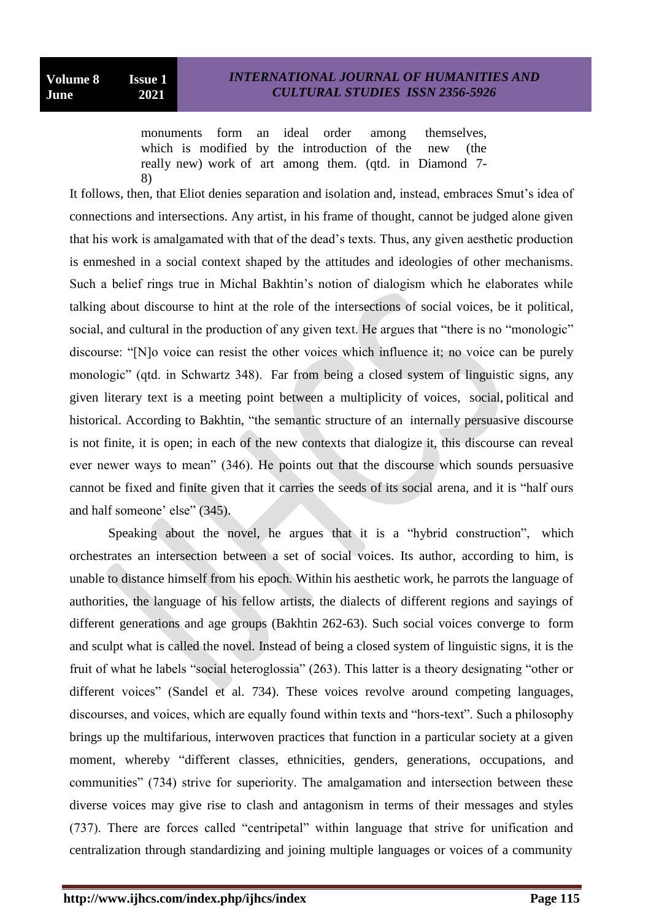monuments form an ideal order among themselves, which is modified by the introduction of the new (the really new) work of art among them. (qtd. in Diamond 7- 8)

It follows, then, that Eliot denies separation and isolation and, instead, embraces Smut's idea of connections and intersections. Any artist, in his frame of thought, cannot be judged alone given that his work is amalgamated with that of the dead"s texts. Thus, any given aesthetic production is enmeshed in a social context shaped by the attitudes and ideologies of other mechanisms. Such a belief rings true in Michal Bakhtin"s notion of dialogism which he elaborates while talking about discourse to hint at the role of the intersections of social voices, be it political, social, and cultural in the production of any given text. He argues that "there is no "monologic" discourse: "[N]o voice can resist the other voices which influence it; no voice can be purely monologic" (qtd. in Schwartz 348). Far from being a closed system of linguistic signs, any given literary text is a meeting point between a multiplicity of voices, social, political and historical. According to Bakhtin, "the semantic structure of an internally persuasive discourse is not finite, it is open; in each of the new contexts that dialogize it, this discourse can reveal ever newer ways to mean" (346). He points out that the discourse which sounds persuasive cannot be fixed and finite given that it carries the seeds of its social arena, and it is "half ours and half someone' else" (345).

Speaking about the novel, he argues that it is a "hybrid construction", which orchestrates an intersection between a set of social voices. Its author, according to him, is unable to distance himself from his epoch. Within his aesthetic work, he parrots the language of authorities, the language of his fellow artists, the dialects of different regions and sayings of different generations and age groups (Bakhtin 262-63). Such social voices converge to form and sculpt what is called the novel. Instead of being a closed system of linguistic signs, it is the fruit of what he labels "social heteroglossia" (263). This latter is a theory designating "other or different voices" (Sandel et al. 734). These voices revolve around competing languages, discourses, and voices, which are equally found within texts and "hors-text". Such a philosophy brings up the multifarious, interwoven practices that function in a particular society at a given moment, whereby "different classes, ethnicities, genders, generations, occupations, and communities" (734) strive for superiority. The amalgamation and intersection between these diverse voices may give rise to clash and antagonism in terms of their messages and styles (737). There are forces called "centripetal" within language that strive for unification and centralization through standardizing and joining multiple languages or voices of a community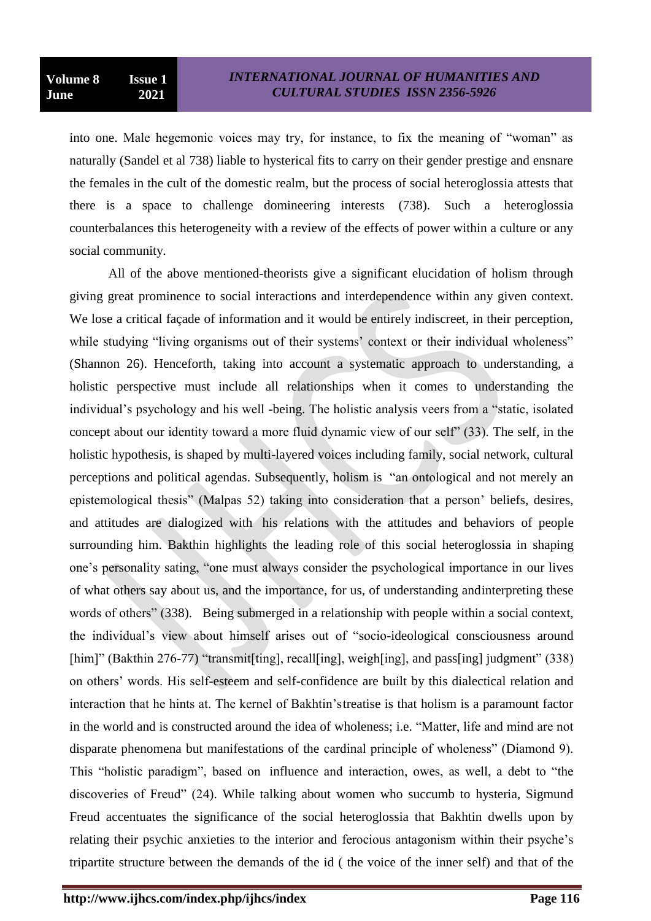into one. Male hegemonic voices may try, for instance, to fix the meaning of "woman" as naturally (Sandel et al 738) liable to hysterical fits to carry on their gender prestige and ensnare the females in the cult of the domestic realm, but the process of social heteroglossia attests that there is a space to challenge domineering interests (738). Such a heteroglossia counterbalances this heterogeneity with a review of the effects of power within a culture or any social community.

All of the above mentioned-theorists give a significant elucidation of holism through giving great prominence to social interactions and interdependence within any given context. We lose a critical façade of information and it would be entirely indiscreet, in their perception, while studying "living organisms out of their systems' context or their individual wholeness" (Shannon 26). Henceforth, taking into account a systematic approach to understanding, a holistic perspective must include all relationships when it comes to understanding the individual"s psychology and his well -being. The holistic analysis veers from a "static, isolated concept about our identity toward a more fluid dynamic view of our self" (33). The self, in the holistic hypothesis, is shaped by multi-layered voices including family, social network, cultural perceptions and political agendas. Subsequently, holism is "an ontological and not merely an epistemological thesis" (Malpas 52) taking into consideration that a person" beliefs, desires, and attitudes are dialogized with his relations with the attitudes and behaviors of people surrounding him. Bakthin highlights the leading role of this social heteroglossia in shaping one"s personality sating, "one must always consider the psychological importance in our lives of what others say about us, and the importance, for us, of understanding andinterpreting these words of others" (338). Being submerged in a relationship with people within a social context, the individual"s view about himself arises out of "socio-ideological consciousness around [him]" (Bakthin 276-77) "transmit[ting], recall[ing], weigh[ing], and pass[ing] judgment" (338) on others" words. His self-esteem and self-confidence are built by this dialectical relation and interaction that he hints at. The kernel of Bakhtin"streatise is that holism is a paramount factor in the world and is constructed around the idea of wholeness; i.e. "Matter, life and mind are not disparate phenomena but manifestations of the cardinal principle of wholeness" (Diamond 9). This "holistic paradigm", based on influence and interaction, owes, as well, a debt to "the discoveries of Freud" (24). While talking about women who succumb to hysteria, Sigmund Freud accentuates the significance of the social heteroglossia that Bakhtin dwells upon by relating their psychic anxieties to the interior and ferocious antagonism within their psyche"s tripartite structure between the demands of the id ( the voice of the inner self) and that of the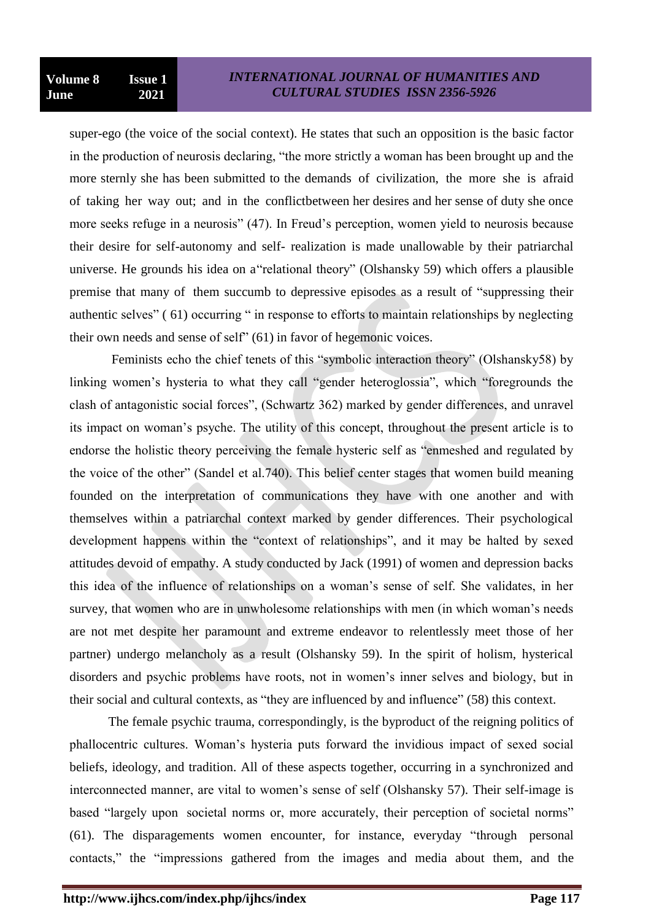super-ego (the voice of the social context). He states that such an opposition is the basic factor in the production of neurosis declaring, "the more strictly a woman has been brought up and the more sternly she has been submitted to the demands of civilization, the more she is afraid of taking her way out; and in the conflictbetween her desires and her sense of duty she once more seeks refuge in a neurosis" (47). In Freud"s perception, women yield to neurosis because their desire for self-autonomy and self- realization is made unallowable by their patriarchal universe. He grounds his idea on a"relational theory" (Olshansky 59) which offers a plausible premise that many of them succumb to depressive episodes as a result of "suppressing their authentic selves" ( 61) occurring " in response to efforts to maintain relationships by neglecting their own needs and sense of self" (61) in favor of hegemonic voices.

Feminists echo the chief tenets of this "symbolic interaction theory" (Olshansky58) by linking women's hysteria to what they call "gender heteroglossia", which "foregrounds the clash of antagonistic social forces", (Schwartz 362) marked by gender differences, and unravel its impact on woman"s psyche. The utility of this concept, throughout the present article is to endorse the holistic theory perceiving the female hysteric self as "enmeshed and regulated by the voice of the other" (Sandel et al.740). This belief center stages that women build meaning founded on the interpretation of communications they have with one another and with themselves within a patriarchal context marked by gender differences. Their psychological development happens within the "context of relationships", and it may be halted by sexed attitudes devoid of empathy. A study conducted by Jack (1991) of women and depression backs this idea of the influence of relationships on a woman"s sense of self. She validates, in her survey, that women who are in unwholesome relationships with men (in which woman"s needs are not met despite her paramount and extreme endeavor to relentlessly meet those of her partner) undergo melancholy as a result (Olshansky 59). In the spirit of holism, hysterical disorders and psychic problems have roots, not in women"s inner selves and biology, but in their social and cultural contexts, as "they are influenced by and influence" (58) this context.

The female psychic trauma, correspondingly, is the byproduct of the reigning politics of phallocentric cultures. Woman"s hysteria puts forward the invidious impact of sexed social beliefs, ideology, and tradition. All of these aspects together, occurring in a synchronized and interconnected manner, are vital to women's sense of self (Olshansky 57). Their self-image is based "largely upon societal norms or, more accurately, their perception of societal norms" (61). The disparagements women encounter, for instance, everyday "through personal contacts," the "impressions gathered from the images and media about them, and the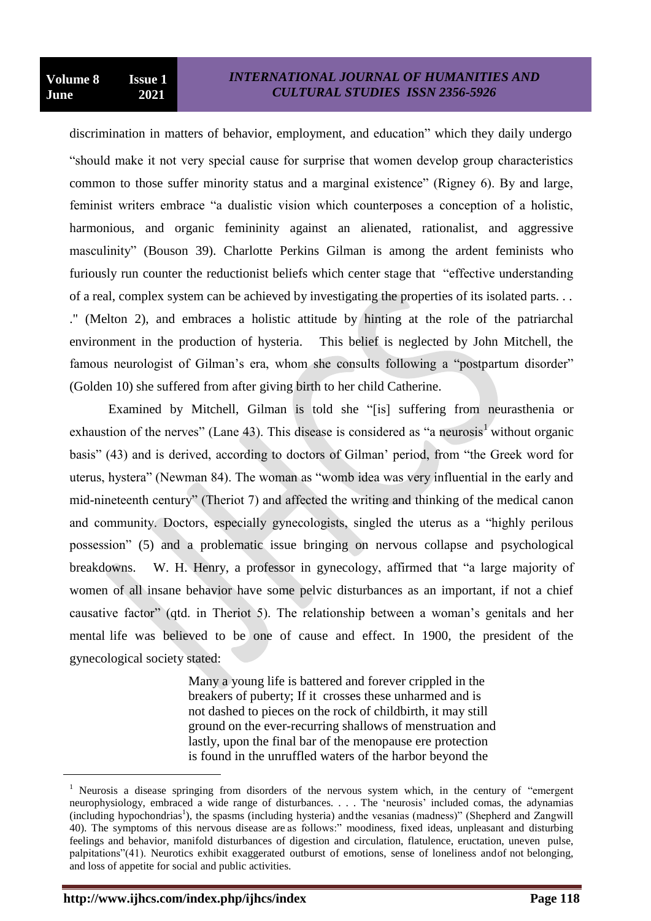discrimination in matters of behavior, employment, and education" which they daily undergo "should make it not very special cause for surprise that women develop group characteristics common to those suffer minority status and a marginal existence" (Rigney 6). By and large, feminist writers embrace "a dualistic vision which counterposes a conception of a holistic, harmonious, and organic femininity against an alienated, rationalist, and aggressive masculinity" (Bouson 39). Charlotte Perkins Gilman is among the ardent feminists who furiously run counter the reductionist beliefs which center stage that "effective understanding of a real, complex system can be achieved by investigating the properties of its isolated parts. . . ." (Melton 2), and embraces a holistic attitude by hinting at the role of the patriarchal environment in the production of hysteria. This belief is neglected by John Mitchell, the famous neurologist of Gilman's era, whom she consults following a "postpartum disorder" (Golden 10) she suffered from after giving birth to her child Catherine.

Examined by Mitchell, Gilman is told she "[is] suffering from neurasthenia or exhaustion of the nerves" (Lane 43). This disease is considered as "a neurosis<sup>1</sup> without organic basis" (43) and is derived, according to doctors of Gilman" period, from "the Greek word for uterus, hystera" (Newman 84). The woman as "womb idea was very influential in the early and mid-nineteenth century" (Theriot 7) and affected the writing and thinking of the medical canon and community. Doctors, especially gynecologists, singled the uterus as a "highly perilous possession" (5) and a problematic issue bringing on nervous collapse and psychological breakdowns. W. H. Henry, a professor in gynecology, affirmed that "a large majority of women of all insane behavior have some pelvic disturbances as an important, if not a chief causative factor" (qtd. in Theriot 5). The relationship between a woman"s genitals and her mental life was believed to be one of cause and effect. In 1900, the president of the gynecological society stated:

> Many a young life is battered and forever crippled in the breakers of puberty; If it crosses these unharmed and is not dashed to pieces on the rock of childbirth, it may still ground on the ever-recurring shallows of menstruation and lastly, upon the final bar of the menopause ere protection is found in the unruffled waters of the harbor beyond the

l

<sup>&</sup>lt;sup>1</sup> Neurosis a disease springing from disorders of the nervous system which, in the century of "emergent" neurophysiology, embraced a wide range of disturbances. . . . The "neurosis" included comas, the adynamias (including hypochondrias<sup>1</sup>), the spasms (including hysteria) and the vesanias (madness)" (Shepherd and Zangwill 40). The symptoms of this nervous disease are as follows:" moodiness, fixed ideas, unpleasant and disturbing feelings and behavior, manifold disturbances of digestion and circulation, flatulence, eructation, uneven pulse, palpitations"(41). Neurotics exhibit exaggerated outburst of emotions, sense of loneliness andof not belonging, and loss of appetite for social and public activities.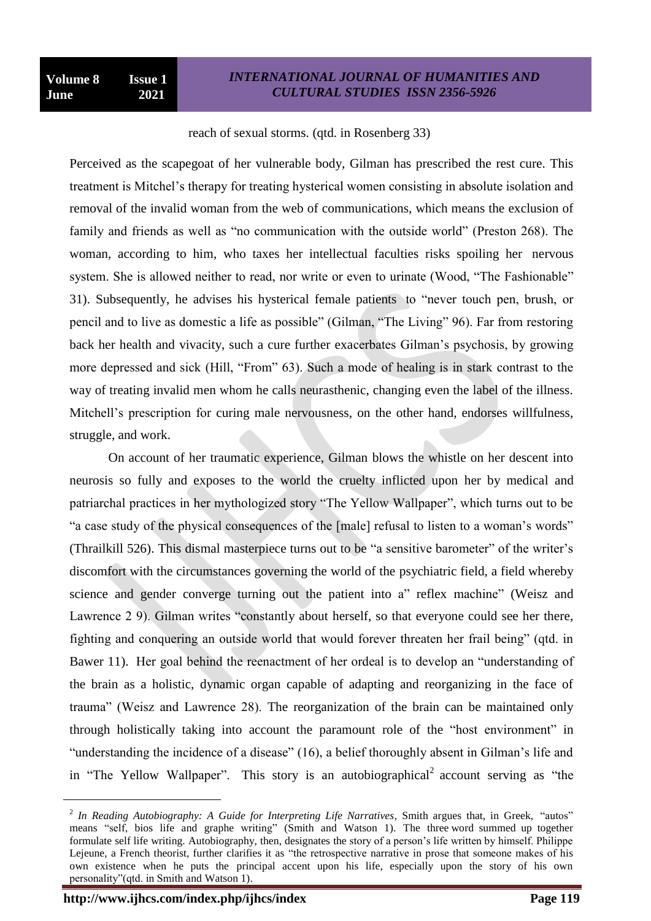#### reach of sexual storms. (qtd. in Rosenberg 33)

Perceived as the scapegoat of her vulnerable body, Gilman has prescribed the rest cure. This treatment is Mitchel"s therapy for treating hysterical women consisting in absolute isolation and removal of the invalid woman from the web of communications, which means the exclusion of family and friends as well as "no communication with the outside world" (Preston 268). The woman, according to him, who taxes her intellectual faculties risks spoiling her nervous system. She is allowed neither to read, nor write or even to urinate (Wood, "The Fashionable" 31). Subsequently, he advises his hysterical female patients to "never touch pen, brush, or pencil and to live as domestic a life as possible" (Gilman, "The Living" 96). Far from restoring back her health and vivacity, such a cure further exacerbates Gilman"s psychosis, by growing more depressed and sick (Hill, "From" 63). Such a mode of healing is in stark contrast to the way of treating invalid men whom he calls neurasthenic, changing even the label of the illness. Mitchell's prescription for curing male nervousness, on the other hand, endorses willfulness, struggle, and work.

On account of her traumatic experience, Gilman blows the whistle on her descent into neurosis so fully and exposes to the world the cruelty inflicted upon her by medical and patriarchal practices in her mythologized story "The Yellow Wallpaper", which turns out to be "a case study of the physical consequences of the [male] refusal to listen to a woman"s words" (Thrailkill 526). This dismal masterpiece turns out to be "a sensitive barometer" of the writer"s discomfort with the circumstances governing the world of the psychiatric field, a field whereby science and gender converge turning out the patient into a" reflex machine" (Weisz and Lawrence 2 9). Gilman writes "constantly about herself, so that everyone could see her there, fighting and conquering an outside world that would forever threaten her frail being" (qtd. in Bawer 11). Her goal behind the reenactment of her ordeal is to develop an "understanding of the brain as a holistic, dynamic organ capable of adapting and reorganizing in the face of trauma" (Weisz and Lawrence 28). The reorganization of the brain can be maintained only through holistically taking into account the paramount role of the "host environment" in "understanding the incidence of a disease" (16), a belief thoroughly absent in Gilman"s life and in "The Yellow Wallpaper". This story is an autobiographical<sup>2</sup> account serving as "the

 $\overline{a}$ 

<sup>&</sup>lt;sup>2</sup> In Reading Autobiography: A Guide for Interpreting Life Narratives, Smith argues that, in Greek, "autos" means "self, bios life and graphe writing" (Smith and Watson 1). The three word summed up together formulate self life writing. Autobiography, then, designates the story of a person"s life written by himself. Philippe Lejeune, a French theorist, further clarifies it as "the retrospective narrative in prose that someone makes of his own existence when he puts the principal accent upon his life, especially upon the story of his own personality"(qtd. in Smith and Watson 1).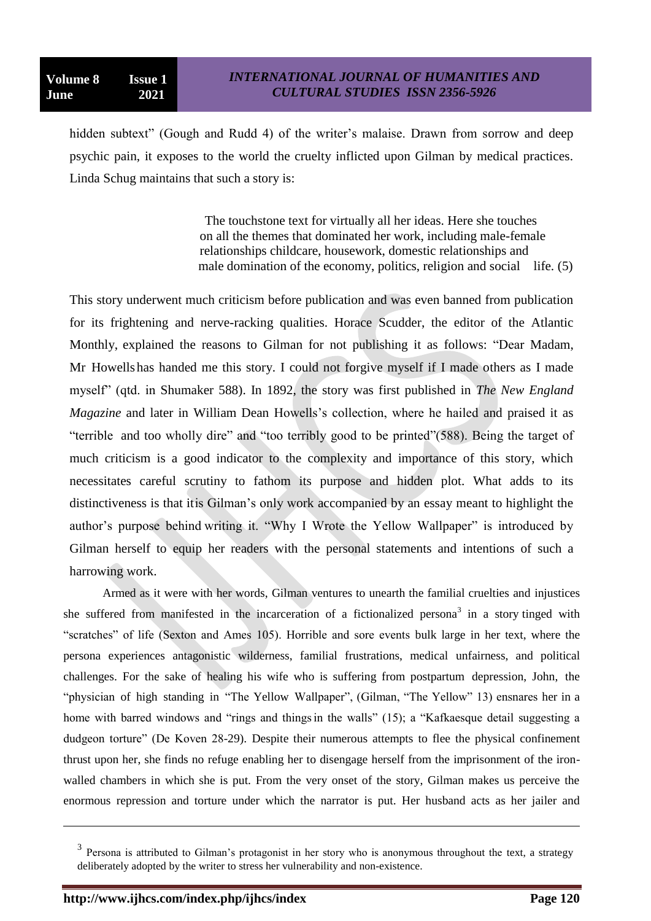hidden subtext" (Gough and Rudd 4) of the writer's malaise. Drawn from sorrow and deep psychic pain, it exposes to the world the cruelty inflicted upon Gilman by medical practices. Linda Schug maintains that such a story is:

> The touchstone text for virtually all her ideas. Here she touches on all the themes that dominated her work, including male-female relationships childcare, housework, domestic relationships and male domination of the economy, politics, religion and social life. (5)

This story underwent much criticism before publication and was even banned from publication for its frightening and nerve-racking qualities. Horace Scudder, the editor of the Atlantic Monthly, explained the reasons to Gilman for not publishing it as follows: "Dear Madam, Mr Howells has handed me this story. I could not forgive myself if I made others as I made myself" (qtd. in Shumaker 588). In 1892, the story was first published in *The New England Magazine* and later in William Dean Howells's collection, where he hailed and praised it as "terrible and too wholly dire" and "too terribly good to be printed"(588). Being the target of much criticism is a good indicator to the complexity and importance of this story, which necessitates careful scrutiny to fathom its purpose and hidden plot. What adds to its distinctiveness is that itis Gilman"s only work accompanied by an essay meant to highlight the author"s purpose behind writing it. "Why I Wrote the Yellow Wallpaper" is introduced by Gilman herself to equip her readers with the personal statements and intentions of such a harrowing work.

Armed as it were with her words, Gilman ventures to unearth the familial cruelties and injustices she suffered from manifested in the incarceration of a fictionalized persona<sup>3</sup> in a story tinged with "scratches" of life (Sexton and Ames 105). Horrible and sore events bulk large in her text, where the persona experiences antagonistic wilderness, familial frustrations, medical unfairness, and political challenges. For the sake of healing his wife who is suffering from postpartum depression, John, the "physician of high standing in "The Yellow Wallpaper", (Gilman, "The Yellow" 13) ensnares her in a home with barred windows and "rings and things in the walls" (15); a "Kafkaesque detail suggesting a dudgeon torture" (De Koven 28-29). Despite their numerous attempts to flee the physical confinement thrust upon her, she finds no refuge enabling her to disengage herself from the imprisonment of the ironwalled chambers in which she is put. From the very onset of the story, Gilman makes us perceive the enormous repression and torture under which the narrator is put. Her husband acts as her jailer and

l

<sup>&</sup>lt;sup>3</sup> Persona is attributed to Gilman's protagonist in her story who is anonymous throughout the text, a strategy deliberately adopted by the writer to stress her vulnerability and non-existence.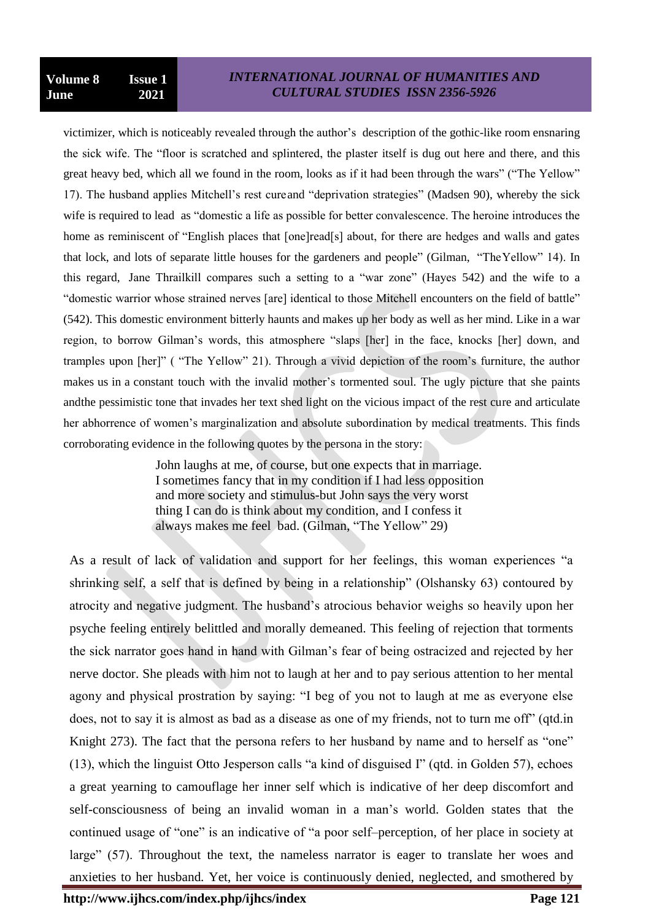victimizer, which is noticeably revealed through the author"s description of the gothic-like room ensnaring the sick wife. The "floor is scratched and splintered, the plaster itself is dug out here and there, and this great heavy bed, which all we found in the room, looks as if it had been through the wars" ("The Yellow" 17). The husband applies Mitchell"s rest cureand "deprivation strategies" (Madsen 90), whereby the sick wife is required to lead as "domestic a life as possible for better convalescence. The heroine introduces the home as reminiscent of "English places that [one]read[s] about, for there are hedges and walls and gates that lock, and lots of separate little houses for the gardeners and people" (Gilman, "TheYellow" 14). In this regard, Jane Thrailkill compares such a setting to a "war zone" (Hayes 542) and the wife to a "domestic warrior whose strained nerves [are] identical to those Mitchell encounters on the field of battle" (542). This domestic environment bitterly haunts and makes up her body as well as her mind. Like in a war region, to borrow Gilman"s words, this atmosphere "slaps [her] in the face, knocks [her] down, and tramples upon [her]" ( "The Yellow" 21). Through a vivid depiction of the room"s furniture, the author makes us in a constant touch with the invalid mother's tormented soul. The ugly picture that she paints andthe pessimistic tone that invades her text shed light on the vicious impact of the rest cure and articulate her abhorrence of women"s marginalization and absolute subordination by medical treatments. This finds corroborating evidence in the following quotes by the persona in the story:

> John laughs at me, of course, but one expects that in marriage. I sometimes fancy that in my condition if I had less opposition and more society and stimulus-but John says the very worst thing I can do is think about my condition, and I confess it always makes me feel bad. (Gilman, "The Yellow" 29)

As a result of lack of validation and support for her feelings, this woman experiences "a shrinking self, a self that is defined by being in a relationship" (Olshansky 63) contoured by atrocity and negative judgment. The husband"s atrocious behavior weighs so heavily upon her psyche feeling entirely belittled and morally demeaned. This feeling of rejection that torments the sick narrator goes hand in hand with Gilman"s fear of being ostracized and rejected by her nerve doctor. She pleads with him not to laugh at her and to pay serious attention to her mental agony and physical prostration by saying: "I beg of you not to laugh at me as everyone else does, not to say it is almost as bad as a disease as one of my friends, not to turn me off" (qtd.in Knight 273). The fact that the persona refers to her husband by name and to herself as "one" (13), which the linguist Otto Jesperson calls "a kind of disguised I" (qtd. in Golden 57), echoes a great yearning to camouflage her inner self which is indicative of her deep discomfort and self-consciousness of being an invalid woman in a man"s world. Golden states that the continued usage of "one" is an indicative of "a poor self–perception, of her place in society at large" (57). Throughout the text, the nameless narrator is eager to translate her woes and anxieties to her husband. Yet, her voice is continuously denied, neglected, and smothered by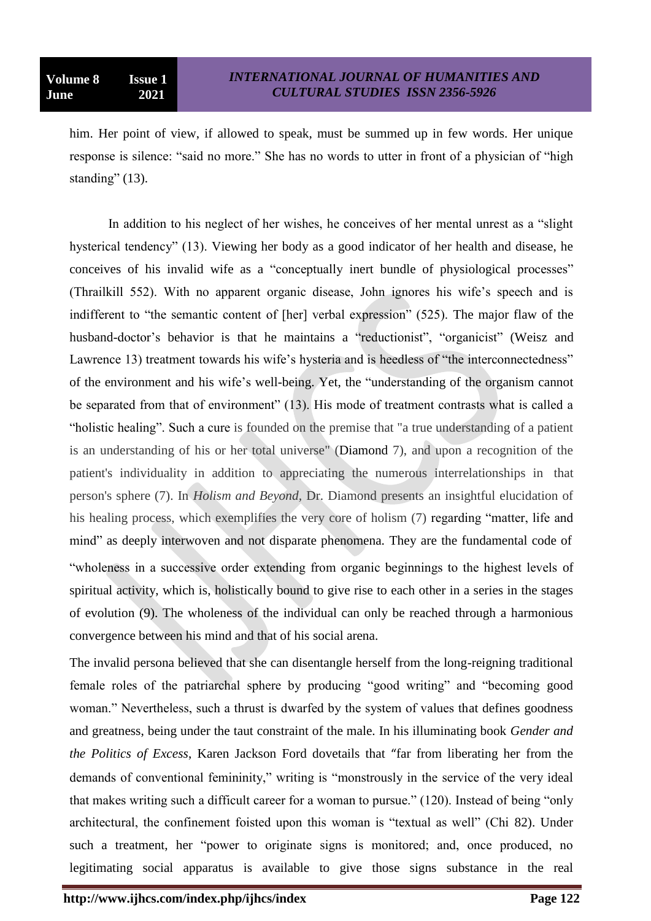him. Her point of view, if allowed to speak, must be summed up in few words. Her unique response is silence: "said no more." She has no words to utter in front of a physician of "high standing" (13).

In addition to his neglect of her wishes, he conceives of her mental unrest as a "slight hysterical tendency" (13). Viewing her body as a good indicator of her health and disease, he conceives of his invalid wife as a "conceptually inert bundle of physiological processes" (Thrailkill 552). With no apparent organic disease, John ignores his wife"s speech and is indifferent to "the semantic content of [her] verbal expression" (525). The major flaw of the husband-doctor's behavior is that he maintains a "reductionist", "organicist" (Weisz and Lawrence 13) treatment towards his wife's hysteria and is heedless of "the interconnectedness" of the environment and his wife's well-being. Yet, the "understanding of the organism cannot be separated from that of environment" (13). His mode of treatment contrasts what is called a "holistic healing". Such a cure is founded on the premise that "a true understanding of a patient is an understanding of his or her total universe" (Diamond 7), and upon a recognition of the patient's individuality in addition to appreciating the numerous interrelationships in that person's sphere (7). In *Holism and Beyond,* Dr. Diamond presents an insightful elucidation of his healing process, which exemplifies the very core of holism (7) regarding "matter, life and mind" as deeply interwoven and not disparate phenomena. They are the fundamental code of "wholeness in a successive order extending from organic beginnings to the highest levels of spiritual activity, which is, holistically bound to give rise to each other in a series in the stages of evolution (9). The wholeness of the individual can only be reached through a harmonious convergence between his mind and that of his social arena.

The invalid persona believed that she can disentangle herself from the long-reigning traditional female roles of the patriarchal sphere by producing "good writing" and "becoming good woman." Nevertheless, such a thrust is dwarfed by the system of values that defines goodness and greatness, being under the taut constraint of the male. In his illuminating book *Gender and the Politics of Excess*, Karen Jackson Ford dovetails that "far from liberating her from the demands of conventional femininity," writing is "monstrously in the service of the very ideal that makes writing such a difficult career for a woman to pursue." (120). Instead of being "only architectural, the confinement foisted upon this woman is "textual as well" (Chi 82). Under such a treatment, her "power to originate signs is monitored; and, once produced, no legitimating social apparatus is available to give those signs substance in the real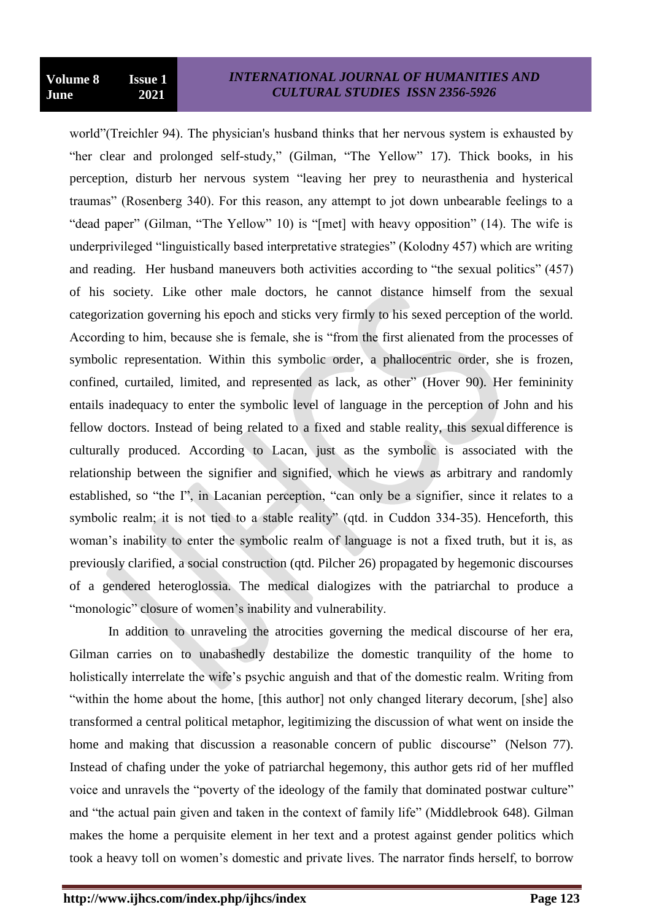world"(Treichler 94). The physician's husband thinks that her nervous system is exhausted by "her clear and prolonged self-study," (Gilman, "The Yellow" 17). Thick books, in his perception, disturb her nervous system "leaving her prey to neurasthenia and hysterical traumas" (Rosenberg 340). For this reason, any attempt to jot down unbearable feelings to a "dead paper" (Gilman, "The Yellow" 10) is "[met] with heavy opposition" (14). The wife is underprivileged "linguistically based interpretative strategies" (Kolodny 457) which are writing and reading. Her husband maneuvers both activities according to "the sexual politics" (457) of his society. Like other male doctors, he cannot distance himself from the sexual categorization governing his epoch and sticks very firmly to his sexed perception of the world. According to him, because she is female, she is "from the first alienated from the processes of symbolic representation. Within this symbolic order, a phallocentric order, she is frozen, confined, curtailed, limited, and represented as lack, as other" (Hover 90). Her femininity entails inadequacy to enter the symbolic level of language in the perception of John and his fellow doctors. Instead of being related to a fixed and stable reality, this sexual difference is culturally produced. According to Lacan, just as the symbolic is associated with the relationship between the signifier and signified, which he views as arbitrary and randomly established, so "the I", in Lacanian perception, "can only be a signifier, since it relates to a symbolic realm; it is not tied to a stable reality" (qtd. in Cuddon 334-35). Henceforth, this woman"s inability to enter the symbolic realm of language is not a fixed truth, but it is, as previously clarified, a social construction (qtd. Pilcher 26) propagated by hegemonic discourses of a gendered heteroglossia. The medical dialogizes with the patriarchal to produce a "monologic" closure of women's inability and vulnerability.

In addition to unraveling the atrocities governing the medical discourse of her era, Gilman carries on to unabashedly destabilize the domestic tranquility of the home to holistically interrelate the wife"s psychic anguish and that of the domestic realm. Writing from "within the home about the home, [this author] not only changed literary decorum, [she] also transformed a central political metaphor, legitimizing the discussion of what went on inside the home and making that discussion a reasonable concern of public discourse" (Nelson 77). Instead of chafing under the yoke of patriarchal hegemony, this author gets rid of her muffled voice and unravels the "poverty of the ideology of the family that dominated postwar culture" and "the actual pain given and taken in the context of family life" (Middlebrook 648). Gilman makes the home a perquisite element in her text and a protest against gender politics which took a heavy toll on women"s domestic and private lives. The narrator finds herself, to borrow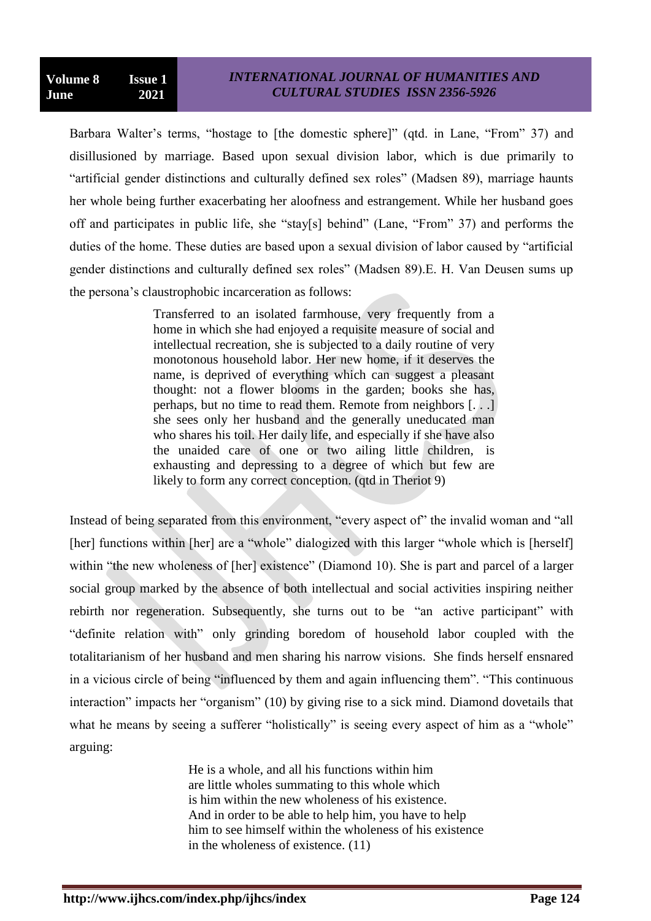Barbara Walter's terms, "hostage to [the domestic sphere]" (qtd. in Lane, "From" 37) and disillusioned by marriage. Based upon sexual division labor, which is due primarily to "artificial gender distinctions and culturally defined sex roles" (Madsen 89), marriage haunts her whole being further exacerbating her aloofness and estrangement. While her husband goes off and participates in public life, she "stay[s] behind" (Lane, "From" 37) and performs the duties of the home. These duties are based upon a sexual division of labor caused by "artificial gender distinctions and culturally defined sex roles" (Madsen 89).E. H. Van Deusen sums up the persona"s claustrophobic incarceration as follows:

> Transferred to an isolated farmhouse, very frequently from a home in which she had enjoyed a requisite measure of social and intellectual recreation, she is subjected to a daily routine of very monotonous household labor. Her new home, if it deserves the name, is deprived of everything which can suggest a pleasant thought: not a flower blooms in the garden; books she has, perhaps, but no time to read them. Remote from neighbors [. . .] she sees only her husband and the generally uneducated man who shares his toil. Her daily life, and especially if she have also the unaided care of one or two ailing little children, is exhausting and depressing to a degree of which but few are likely to form any correct conception. (qtd in Theriot 9)

Instead of being separated from this environment, "every aspect of" the invalid woman and "all [her] functions within [her] are a "whole" dialogized with this larger "whole which is [herself] within "the new wholeness of [her] existence" (Diamond 10). She is part and parcel of a larger social group marked by the absence of both intellectual and social activities inspiring neither rebirth nor regeneration. Subsequently, she turns out to be "an active participant" with "definite relation with" only grinding boredom of household labor coupled with the totalitarianism of her husband and men sharing his narrow visions. She finds herself ensnared in a vicious circle of being "influenced by them and again influencing them". "This continuous interaction" impacts her "organism" (10) by giving rise to a sick mind. Diamond dovetails that what he means by seeing a sufferer "holistically" is seeing every aspect of him as a "whole" arguing:

> He is a whole, and all his functions within him are little wholes summating to this whole which is him within the new wholeness of his existence. And in order to be able to help him, you have to help him to see himself within the wholeness of his existence in the wholeness of existence. (11)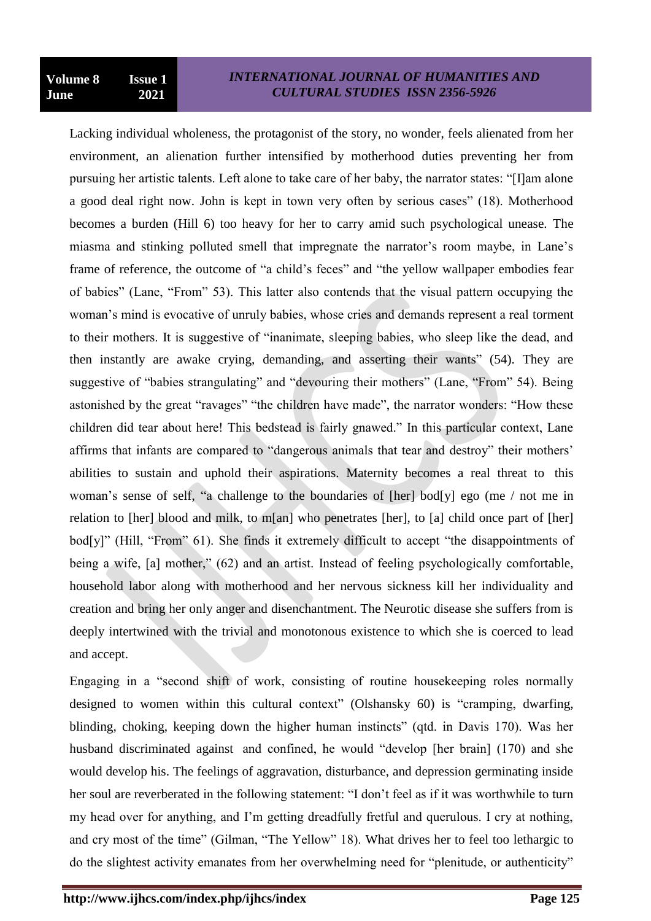Lacking individual wholeness, the protagonist of the story, no wonder, feels alienated from her environment, an alienation further intensified by motherhood duties preventing her from pursuing her artistic talents. Left alone to take care of her baby, the narrator states: "[I]am alone a good deal right now. John is kept in town very often by serious cases" (18). Motherhood becomes a burden (Hill 6) too heavy for her to carry amid such psychological unease. The miasma and stinking polluted smell that impregnate the narrator's room maybe, in Lane's frame of reference, the outcome of "a child's feces" and "the yellow wallpaper embodies fear of babies" (Lane, "From" 53). This latter also contends that the visual pattern occupying the woman"s mind is evocative of unruly babies, whose cries and demands represent a real torment to their mothers. It is suggestive of "inanimate, sleeping babies, who sleep like the dead, and then instantly are awake crying, demanding, and asserting their wants" (54). They are suggestive of "babies strangulating" and "devouring their mothers" (Lane, "From" 54). Being astonished by the great "ravages" "the children have made", the narrator wonders: "How these children did tear about here! This bedstead is fairly gnawed." In this particular context, Lane affirms that infants are compared to "dangerous animals that tear and destroy" their mothers" abilities to sustain and uphold their aspirations. Maternity becomes a real threat to this woman"s sense of self, "a challenge to the boundaries of [her] bod[y] ego (me / not me in relation to [her] blood and milk, to m[an] who penetrates [her], to [a] child once part of [her] bod[y]" (Hill, "From" 61). She finds it extremely difficult to accept "the disappointments of being a wife, [a] mother," (62) and an artist. Instead of feeling psychologically comfortable, household labor along with motherhood and her nervous sickness kill her individuality and creation and bring her only anger and disenchantment. The Neurotic disease she suffers from is deeply intertwined with the trivial and monotonous existence to which she is coerced to lead and accept.

Engaging in a "second shift of work, consisting of routine housekeeping roles normally designed to women within this cultural context" (Olshansky 60) is "cramping, dwarfing, blinding, choking, keeping down the higher human instincts" (qtd. in Davis 170). Was her husband discriminated against and confined, he would "develop [her brain] (170) and she would develop his. The feelings of aggravation, disturbance, and depression germinating inside her soul are reverberated in the following statement: "I don"t feel as if it was worthwhile to turn my head over for anything, and I"m getting dreadfully fretful and querulous. I cry at nothing, and cry most of the time" (Gilman, "The Yellow" 18). What drives her to feel too lethargic to do the slightest activity emanates from her overwhelming need for "plenitude, or authenticity"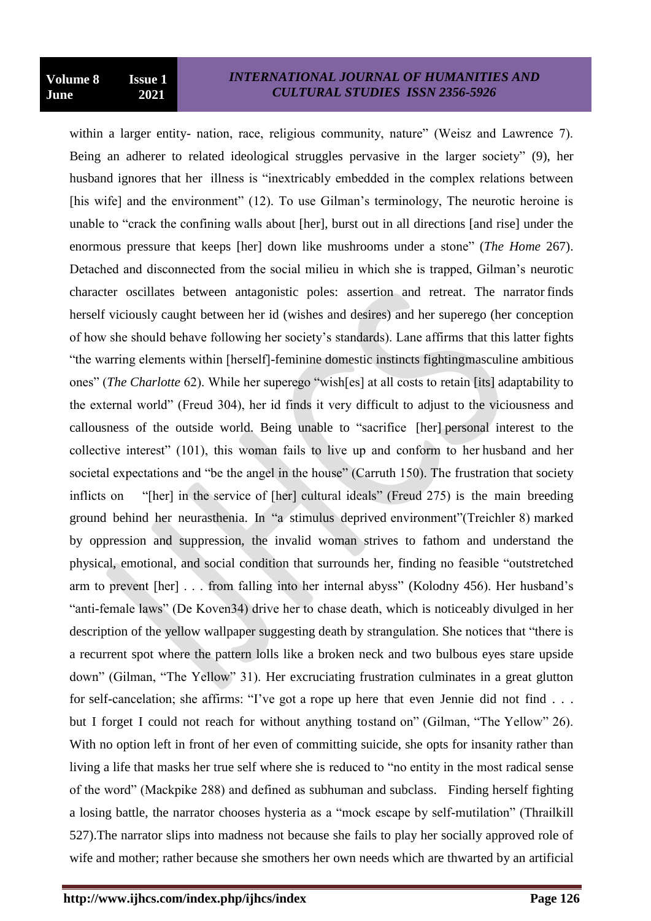within a larger entity- nation, race, religious community, nature" (Weisz and Lawrence 7). Being an adherer to related ideological struggles pervasive in the larger society" (9), her husband ignores that her illness is "inextricably embedded in the complex relations between [his wife] and the environment" (12). To use Gilman's terminology, The neurotic heroine is unable to "crack the confining walls about [her], burst out in all directions [and rise] under the enormous pressure that keeps [her] down like mushrooms under a stone" (*The Home* 267). Detached and disconnected from the social milieu in which she is trapped, Gilman"s neurotic character oscillates between antagonistic poles: assertion and retreat. The narrator finds herself viciously caught between her id (wishes and desires) and her superego (her conception of how she should behave following her society"s standards). Lane affirms that this latter fights "the warring elements within [herself]-feminine domestic instincts fightingmasculine ambitious ones" (*The Charlotte* 62). While her superego "wish[es] at all costs to retain [its] adaptability to the external world" (Freud 304), her id finds it very difficult to adjust to the viciousness and callousness of the outside world. Being unable to "sacrifice [her] personal interest to the collective interest" (101), this woman fails to live up and conform to her husband and her societal expectations and "be the angel in the house" (Carruth 150). The frustration that society inflicts on "[her] in the service of [her] cultural ideals" (Freud 275) is the main breeding ground behind her neurasthenia. In "a stimulus deprived environment"(Treichler 8) marked by oppression and suppression, the invalid woman strives to fathom and understand the physical, emotional, and social condition that surrounds her, finding no feasible "outstretched arm to prevent [her] . . . from falling into her internal abyss" (Kolodny 456). Her husband"s "anti-female laws" (De Koven34) drive her to chase death, which is noticeably divulged in her description of the yellow wallpaper suggesting death by strangulation. She notices that "there is a recurrent spot where the pattern lolls like a broken neck and two bulbous eyes stare upside down" (Gilman, "The Yellow" 31). Her excruciating frustration culminates in a great glutton for self-cancelation; she affirms: "I've got a rope up here that even Jennie did not find . . . but I forget I could not reach for without anything tostand on" (Gilman, "The Yellow" 26). With no option left in front of her even of committing suicide, she opts for insanity rather than living a life that masks her true self where she is reduced to "no entity in the most radical sense of the word" (Mackpike 288) and defined as subhuman and subclass. Finding herself fighting a losing battle, the narrator chooses hysteria as a "mock escape by self-mutilation" (Thrailkill 527).The narrator slips into madness not because she fails to play her socially approved role of wife and mother; rather because she smothers her own needs which are thwarted by an artificial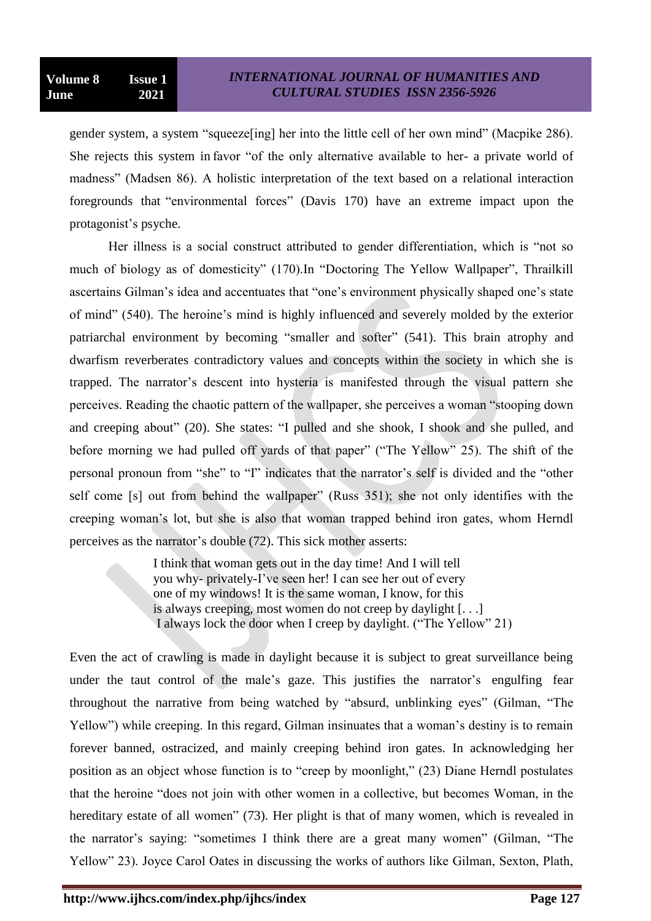gender system, a system "squeeze[ing] her into the little cell of her own mind" (Macpike 286). She rejects this system in favor "of the only alternative available to her- a private world of madness" (Madsen 86). A holistic interpretation of the text based on a relational interaction foregrounds that "environmental forces" (Davis 170) have an extreme impact upon the protagonist"s psyche.

Her illness is a social construct attributed to gender differentiation, which is "not so much of biology as of domesticity" (170).In "Doctoring The Yellow Wallpaper", Thrailkill ascertains Gilman's idea and accentuates that "one's environment physically shaped one's state of mind" (540). The heroine"s mind is highly influenced and severely molded by the exterior patriarchal environment by becoming "smaller and softer" (541). This brain atrophy and dwarfism reverberates contradictory values and concepts within the society in which she is trapped. The narrator"s descent into hysteria is manifested through the visual pattern she perceives. Reading the chaotic pattern of the wallpaper, she perceives a woman "stooping down and creeping about" (20). She states: "I pulled and she shook, I shook and she pulled, and before morning we had pulled off yards of that paper" ("The Yellow" 25). The shift of the personal pronoun from "she" to "I" indicates that the narrator"s self is divided and the "other self come [s] out from behind the wallpaper" (Russ 351); she not only identifies with the creeping woman"s lot, but she is also that woman trapped behind iron gates, whom Herndl perceives as the narrator"s double (72). This sick mother asserts:

> I think that woman gets out in the day time! And I will tell you why- privately-I"ve seen her! I can see her out of every one of my windows! It is the same woman, I know, for this is always creeping, most women do not creep by daylight [. . .] I always lock the door when I creep by daylight. ("The Yellow" 21)

Even the act of crawling is made in daylight because it is subject to great surveillance being under the taut control of the male's gaze. This justifies the narrator's engulfing fear throughout the narrative from being watched by "absurd, unblinking eyes" (Gilman, "The Yellow") while creeping. In this regard, Gilman insinuates that a woman's destiny is to remain forever banned, ostracized, and mainly creeping behind iron gates. In acknowledging her position as an object whose function is to "creep by moonlight," (23) Diane Herndl postulates that the heroine "does not join with other women in a collective, but becomes Woman, in the hereditary estate of all women" (73). Her plight is that of many women, which is revealed in the narrator's saying: "sometimes I think there are a great many women" (Gilman, "The Yellow" 23). Joyce Carol Oates in discussing the works of authors like Gilman, Sexton, Plath,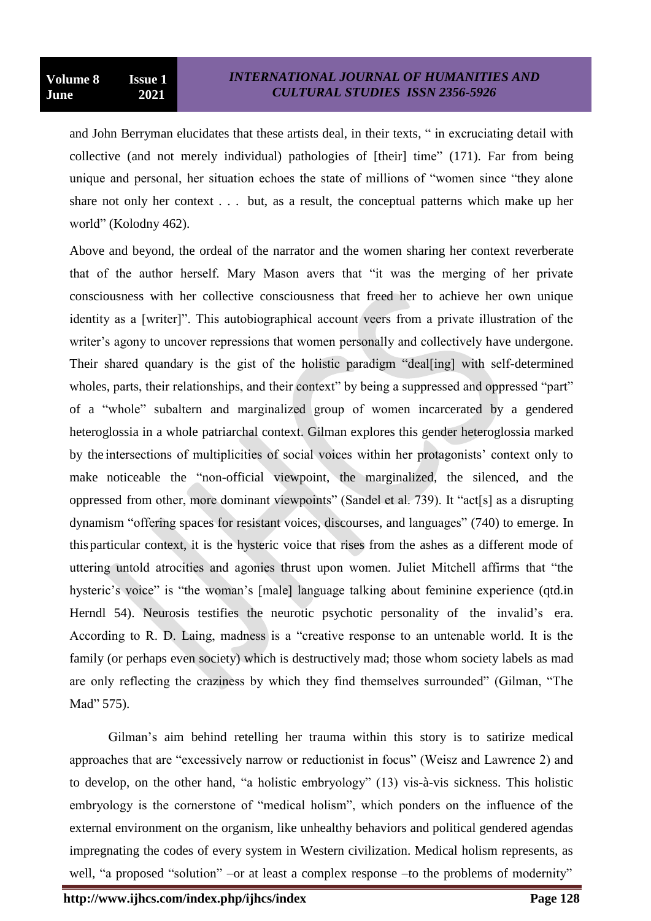and John Berryman elucidates that these artists deal, in their texts, " in excruciating detail with collective (and not merely individual) pathologies of [their] time" (171). Far from being unique and personal, her situation echoes the state of millions of "women since "they alone share not only her context . . . but, as a result, the conceptual patterns which make up her world" (Kolodny 462).

Above and beyond, the ordeal of the narrator and the women sharing her context reverberate that of the author herself. Mary Mason avers that "it was the merging of her private consciousness with her collective consciousness that freed her to achieve her own unique identity as a [writer]". This autobiographical account veers from a private illustration of the writer's agony to uncover repressions that women personally and collectively have undergone. Their shared quandary is the gist of the holistic paradigm "deal[ing] with self-determined wholes, parts, their relationships, and their context" by being a suppressed and oppressed "part" of a "whole" subaltern and marginalized group of women incarcerated by a gendered heteroglossia in a whole patriarchal context. Gilman explores this gender heteroglossia marked by the intersections of multiplicities of social voices within her protagonists' context only to make noticeable the "non-official viewpoint, the marginalized, the silenced, and the oppressed from other, more dominant viewpoints" (Sandel et al. 739). It "act[s] as a disrupting dynamism "offering spaces for resistant voices, discourses, and languages" (740) to emerge. In thisparticular context, it is the hysteric voice that rises from the ashes as a different mode of uttering untold atrocities and agonies thrust upon women. Juliet Mitchell affirms that "the hysteric's voice" is "the woman's [male] language talking about feminine experience (qtd.in Herndl 54). Neurosis testifies the neurotic psychotic personality of the invalid's era. According to R. D. Laing, madness is a "creative response to an untenable world. It is the family (or perhaps even society) which is destructively mad; those whom society labels as mad are only reflecting the craziness by which they find themselves surrounded" (Gilman, "The Mad" 575).

Gilman"s aim behind retelling her trauma within this story is to satirize medical approaches that are "excessively narrow or reductionist in focus" (Weisz and Lawrence 2) and to develop, on the other hand, "a holistic embryology" (13) vis-à-vis sickness. This holistic embryology is the cornerstone of "medical holism", which ponders on the influence of the external environment on the organism, like unhealthy behaviors and political gendered agendas impregnating the codes of every system in Western civilization. Medical holism represents, as well, "a proposed "solution" –or at least a complex response –to the problems of modernity"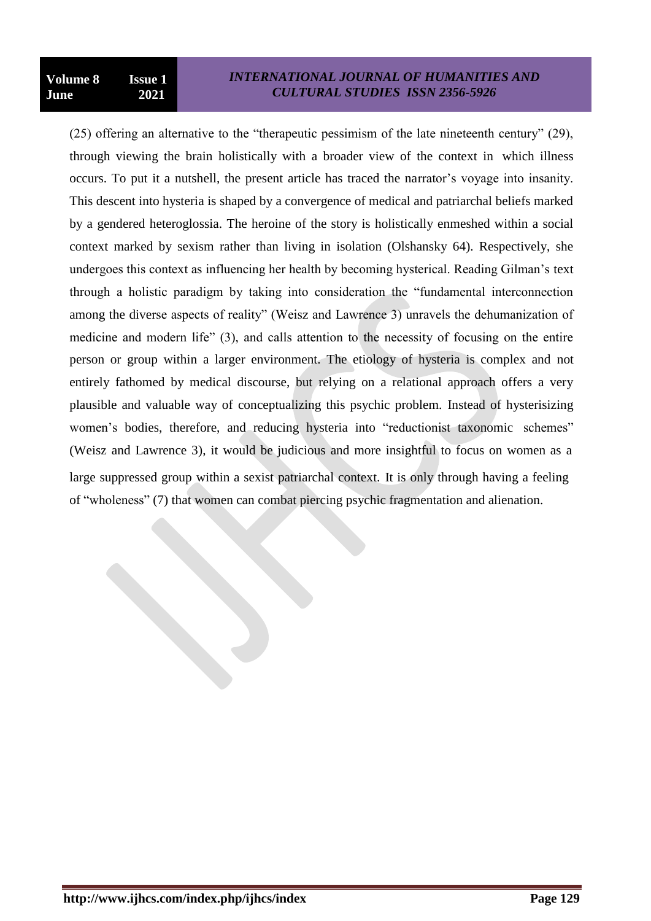(25) offering an alternative to the "therapeutic pessimism of the late nineteenth century" (29), through viewing the brain holistically with a broader view of the context in which illness occurs. To put it a nutshell, the present article has traced the narrator"s voyage into insanity. This descent into hysteria is shaped by a convergence of medical and patriarchal beliefs marked by a gendered heteroglossia. The heroine of the story is holistically enmeshed within a social context marked by sexism rather than living in isolation (Olshansky 64). Respectively, she undergoes this context as influencing her health by becoming hysterical. Reading Gilman"s text through a holistic paradigm by taking into consideration the "fundamental interconnection among the diverse aspects of reality" (Weisz and Lawrence 3) unravels the dehumanization of medicine and modern life" (3), and calls attention to the necessity of focusing on the entire person or group within a larger environment. The etiology of hysteria is complex and not entirely fathomed by medical discourse, but relying on a relational approach offers a very plausible and valuable way of conceptualizing this psychic problem. Instead of hysterisizing women's bodies, therefore, and reducing hysteria into "reductionist taxonomic schemes" (Weisz and Lawrence 3), it would be judicious and more insightful to focus on women as a large suppressed group within a sexist patriarchal context. It is only through having a feeling of "wholeness" (7) that women can combat piercing psychic fragmentation and alienation.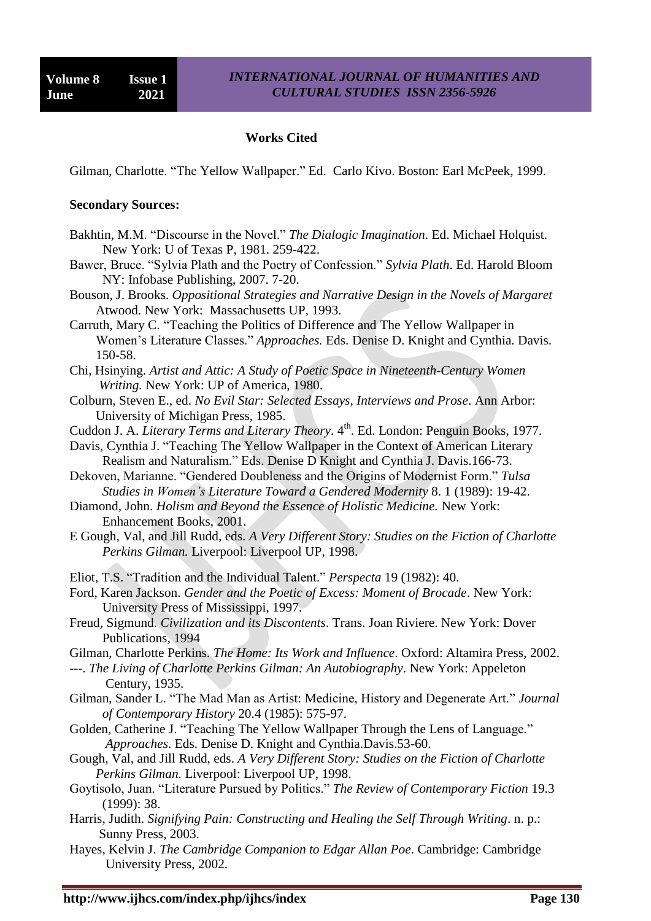#### **Works Cited**

Gilman, Charlotte. "The Yellow Wallpaper." Ed. Carlo Kivo. Boston: Earl McPeek, 1999.

#### **Secondary Sources:**

- Bakhtin, M.M. "Discourse in the Novel." *The Dialogic Imagination*. Ed. Michael Holquist. New York: U of Texas P, 1981. 259-422.
- Bawer, Bruce. "Sylvia Plath and the Poetry of Confession." *Sylvia Plath*. Ed. Harold Bloom NY: Infobase Publishing, 2007. 7-20.
- Bouson, J. Brooks. *Oppositional Strategies and Narrative Design in the Novels of Margaret* Atwood. New York: Massachusetts UP, 1993.
- Carruth, Mary C. "Teaching the Politics of Difference and The Yellow Wallpaper in Women"s Literature Classes." *Approaches.* Eds. Denise D. Knight and Cynthia. Davis. 150-58.
- Chi, Hsinying. *Artist and Attic: A Study of Poetic Space in Nineteenth-Century Women Writing.* New York: UP of America, 1980.
- Colburn, Steven E., ed. *No Evil Star: Selected Essays, Interviews and Prose*. Ann Arbor: University of Michigan Press, 1985.
- Cuddon J. A. *Literary Terms and Literary Theory*. 4<sup>th</sup>. Ed. London: Penguin Books, 1977.
- Davis, Cynthia J. "Teaching The Yellow Wallpaper in the Context of American Literary Realism and Naturalism." Eds. Denise D Knight and Cynthia J. Davis.166-73.
- Dekoven, Marianne. "Gendered Doubleness and the Origins of Modernist Form." *Tulsa Studies in Women's Literature Toward a Gendered Modernity* 8. 1 (1989): 19-42.
- Diamond, John. *Holism and Beyond the Essence of Holistic Medicine.* New York: Enhancement Books, 2001.
- E Gough, Val, and Jill Rudd, eds. *A Very Different Story: Studies on the Fiction of Charlotte Perkins Gilman.* Liverpool: Liverpool UP, 1998.
- Eliot, T.S. "Tradition and the Individual Talent." *Perspecta* 19 (1982): 40.
- Ford, Karen Jackson. *Gender and the Poetic of Excess: Moment of Brocade*. New York: University Press of Mississippi, 1997.
- Freud, Sigmund. *Civilization and its Discontents*. Trans. Joan Riviere. New York: Dover Publications, 1994
- Gilman, Charlotte Perkins. *The Home: Its Work and Influence*. Oxford: Altamira Press, 2002.
- ---. *The Living of Charlotte Perkins Gilman: An Autobiography*. New York: Appeleton Century, 1935.
- Gilman, Sander L. "The Mad Man as Artist: Medicine, History and Degenerate Art." *Journal of Contemporary History* 20.4 (1985): 575-97.
- Golden, Catherine J. "Teaching The Yellow Wallpaper Through the Lens of Language." *Approaches*. Eds. Denise D. Knight and Cynthia.Davis.53-60.
- Gough, Val, and Jill Rudd, eds. *A Very Different Story: Studies on the Fiction of Charlotte Perkins Gilman.* Liverpool: Liverpool UP, 1998.
- Goytisolo, Juan. "Literature Pursued by Politics." *The Review of Contemporary Fiction* 19.3 (1999): 38.
- Harris, Judith. *Signifying Pain: Constructing and Healing the Self Through Writing*. n. p.: Sunny Press, 2003.
- Hayes, Kelvin J. *The Cambridge Companion to Edgar Allan Poe*. Cambridge: Cambridge University Press, 2002.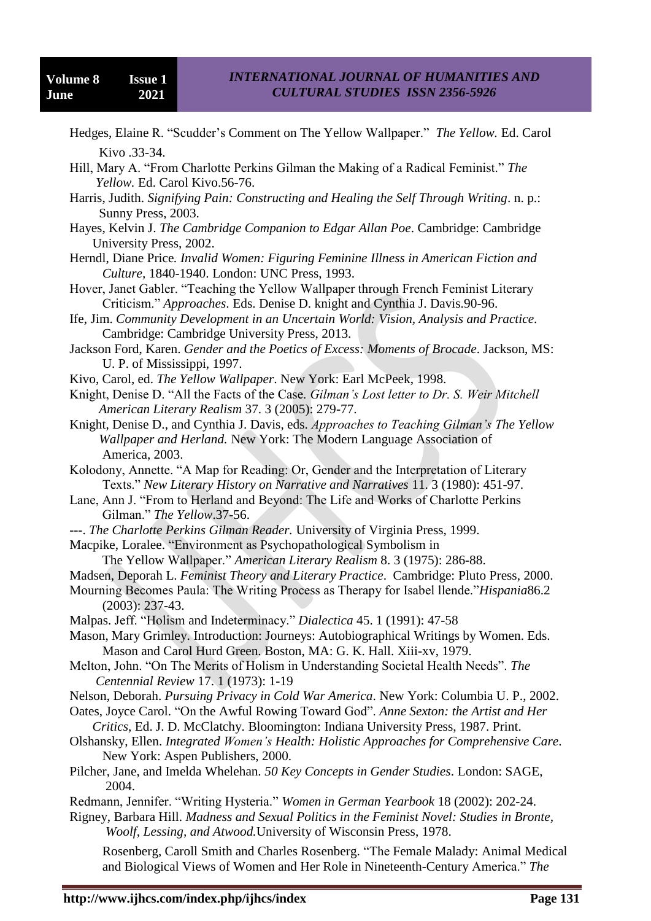- Hedges, Elaine R. "Scudder"s Comment on The Yellow Wallpaper." *The Yellow.* Ed. Carol Kivo .33-34.
- Hill, Mary A. "From Charlotte Perkins Gilman the Making of a Radical Feminist." *The Yellow.* Ed. Carol Kivo.56-76.
- Harris, Judith. *Signifying Pain: Constructing and Healing the Self Through Writing*. n. p.: Sunny Press, 2003.
- Hayes, Kelvin J. *The Cambridge Companion to Edgar Allan Poe*. Cambridge: Cambridge University Press, 2002.
- Herndl, Diane Price*. Invalid Women: Figuring Feminine Illness in American Fiction and Culture,* 1840-1940. London: UNC Press, 1993.
- Hover, Janet Gabler. "Teaching the Yellow Wallpaper through French Feminist Literary Criticism." *Approaches*. Eds. Denise D. knight and Cynthia J. Davis.90-96.
- Ife, Jim. *Community Development in an Uncertain World: Vision, Analysis and Practice*. Cambridge: Cambridge University Press, 2013.
- Jackson Ford, Karen. *Gender and the Poetics of Excess: Moments of Brocade*. Jackson, MS: U. P. of Mississippi, 1997.
- Kivo, Carol, ed. *The Yellow Wallpaper*. New York: Earl McPeek, 1998.
- Knight, Denise D. "All the Facts of the Case. *Gilman's Lost letter to Dr. S. Weir Mitchell American Literary Realism* 37. 3 (2005): 279-77.
- Knight, Denise D., and Cynthia J. Davis, eds. *Approaches to Teaching Gilman's The Yellow Wallpaper and Herland.* New York: The Modern Language Association of America, 2003.
- Kolodony, Annette. "A Map for Reading: Or, Gender and the Interpretation of Literary Texts." *New Literary History on Narrative and Narratives* 11. 3 (1980): 451-97.
- Lane, Ann J. "From to Herland and Beyond: The Life and Works of Charlotte Perkins Gilman." *The Yellow*.37-56.
- ---. *The Charlotte Perkins Gilman Reader.* University of Virginia Press, 1999.
- Macpike, Loralee. "Environment as Psychopathological Symbolism in

The Yellow Wallpaper." *American Literary Realism* 8. 3 (1975): 286-88.

- Madsen, Deporah L. *Feminist Theory and Literary Practice*. Cambridge: Pluto Press, 2000.
- Mourning Becomes Paula: The Writing Process as Therapy for Isabel llende."*Hispania*86.2 (2003): 237-43.
- Malpas. Jeff. "Holism and Indeterminacy." *Dialectica* 45. 1 (1991): 47-58
- Mason, Mary Grimley. Introduction: Journeys: Autobiographical Writings by Women. Eds. Mason and Carol Hurd Green. Boston, MA: G. K. Hall. Xiii-xv, 1979.
- Melton, John. "On The Merits of Holism in Understanding Societal Health Needs". *The Centennial Review* 17. 1 (1973): 1-19
- Nelson, Deborah. *Pursuing Privacy in Cold War America*. New York: Columbia U. P., 2002.
- Oates, Joyce Carol. "On the Awful Rowing Toward God". *Anne Sexton: the Artist and Her Critics*, Ed. J. D. McClatchy. Bloomington: Indiana University Press, 1987. Print.
- Olshansky, Ellen. *Integrated Women's Health: Holistic Approaches for Comprehensive Care*. New York: Aspen Publishers, 2000.
- Pilcher, Jane, and Imelda Whelehan*. 50 Key Concepts in Gender Studies*. London: SAGE, 2004.
- Redmann, Jennifer. "Writing Hysteria." *Women in German Yearbook* 18 (2002): 202-24.
- Rigney, Barbara Hill. *Madness and Sexual Politics in the Feminist Novel: Studies in Bronte, Woolf, Lessing, and Atwood.*University of Wisconsin Press, 1978.

Rosenberg, Caroll Smith and Charles Rosenberg. "The Female Malady: Animal Medical and Biological Views of Women and Her Role in Nineteenth-Century America." *The*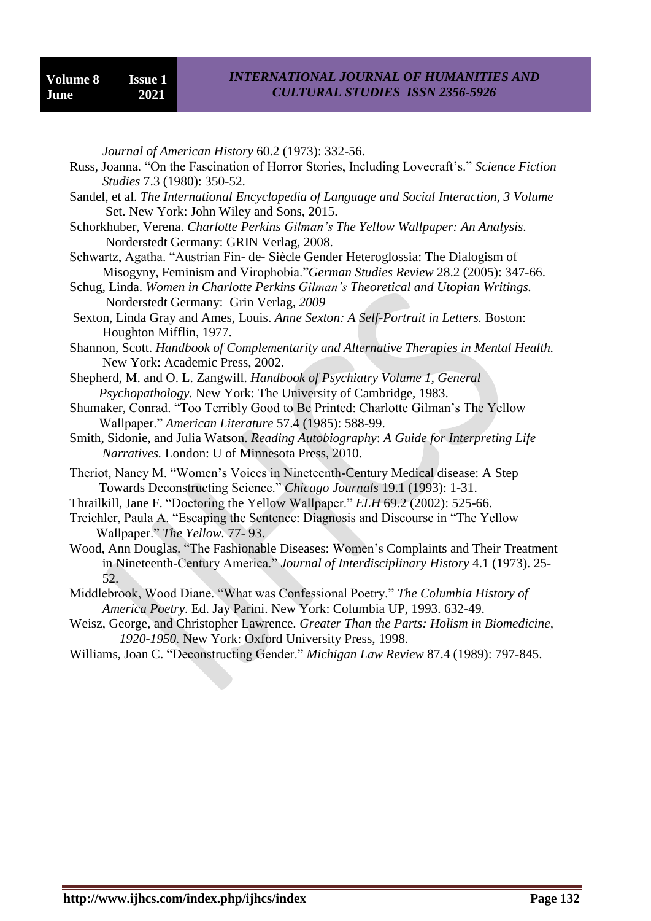*Journal of American History* 60.2 (1973): 332-56.

- Russ, Joanna. "On the Fascination of Horror Stories, Including Lovecraft's." Science Fiction *Studies* 7.3 (1980): 350-52.
- Sandel, et al. *The International Encyclopedia of Language and Social Interaction, 3 Volume* Set. New York: John Wiley and Sons, 2015.
- Schorkhuber, Verena. *Charlotte Perkins Gilman's The Yellow Wallpaper: An Analysis*. Norderstedt Germany: GRIN Verlag, 2008.
- Schwartz, Agatha. "Austrian Fin- de- Siècle Gender Heteroglossia: The Dialogism of Misogyny, Feminism and Virophobia."*German Studies Review* 28.2 (2005): 347-66.
- Schug, Linda. *Women in Charlotte Perkins Gilman's Theoretical and Utopian Writings.* Norderstedt Germany: Grin Verlag*, 2009*
- Sexton, Linda Gray and Ames, Louis. *Anne Sexton: A Self-Portrait in Letters.* Boston: Houghton Mifflin, 1977.
- Shannon, Scott. *Handbook of Complementarity and Alternative Therapies in Mental Health.* New York: Academic Press, 2002.
- Shepherd, M. and O. L. Zangwill. *Handbook of Psychiatry Volume 1, General Psychopathology.* New York: The University of Cambridge, 1983.
- Shumaker, Conrad. "Too Terribly Good to Be Printed: Charlotte Gilman"s The Yellow Wallpaper." *American Literature* 57.4 (1985): 588-99.
- Smith, Sidonie, and Julia Watson. *Reading Autobiography*: *A Guide for Interpreting Life Narratives.* London: U of Minnesota Press, 2010.
- Theriot, Nancy M. "Women"s Voices in Nineteenth-Century Medical disease: A Step Towards Deconstructing Science." *Chicago Journals* 19.1 (1993): 1-31.
- Thrailkill, Jane F. "Doctoring the Yellow Wallpaper." *ELH* 69.2 (2002): 525-66.
- Treichler, Paula A. "Escaping the Sentence: Diagnosis and Discourse in "The Yellow Wallpaper." *The Yellow.* 77- 93.
- Wood, Ann Douglas. "The Fashionable Diseases: Women"s Complaints and Their Treatment in Nineteenth-Century America." *Journal of Interdisciplinary History* 4.1 (1973). 25- 52.
- Middlebrook, Wood Diane. "What was Confessional Poetry." *The Columbia History of America Poetry*. Ed. Jay Parini. New York: Columbia UP, 1993. 632-49.
- Weisz, George, and Christopher Lawrence. *Greater Than the Parts: Holism in Biomedicine, 1920-1950.* New York: Oxford University Press, 1998.
- Williams, Joan C. "Deconstructing Gender." *Michigan Law Review* 87.4 (1989): 797-845.